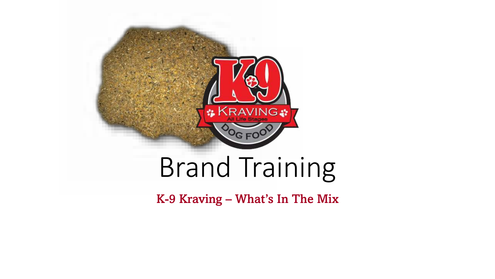

### Brand Training

K-9 Kraving – What's In The Mix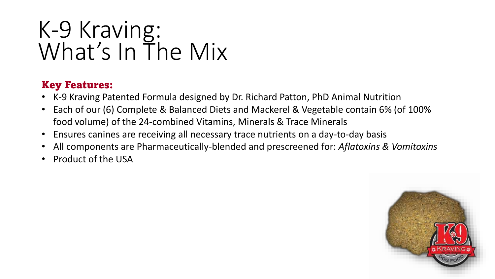### Key Features:

- K-9 Kraving Patented Formula designed by Dr. Richard Patton, PhD Animal Nutrition
- Each of our (6) Complete & Balanced Diets and Mackerel & Vegetable contain 6% (of 100% food volume) of the 24-combined Vitamins, Minerals & Trace Minerals
- Ensures canines are receiving all necessary trace nutrients on a day-to-day basis
- All components are Pharmaceutically-blended and prescreened for: *Aflatoxins & Vomitoxins*
- Product of the USA

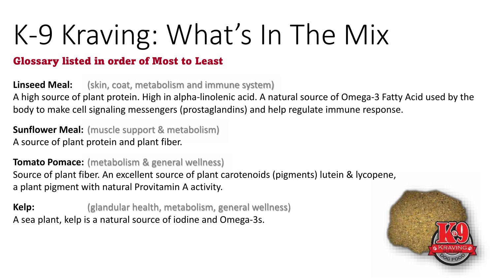#### Glossary listed in order of Most to Least

**Linseed Meal:** (skin, coat, metabolism and immune system) A high source of plant protein. High in alpha-linolenic acid. A natural source of Omega-3 Fatty Acid used by the body to make cell signaling messengers (prostaglandins) and help regulate immune response.

**Sunflower Meal:** (muscle support & metabolism) A source of plant protein and plant fiber.

**Tomato Pomace:** (metabolism & general wellness) Source of plant fiber. An excellent source of plant carotenoids (pigments) lutein & lycopene, a plant pigment with natural Provitamin A activity.

**Kelp:** (glandular health, metabolism, general wellness) A sea plant, kelp is a natural source of iodine and Omega-3s.

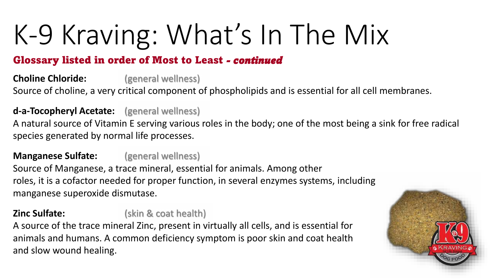### Glossary listed in order of Most to Least *- continued*

**Choline Chloride:** (general wellness) Source of choline, a very critical component of phospholipids and is essential for all cell membranes.

**d-a-Tocopheryl Acetate:** (general wellness)

A natural source of Vitamin E serving various roles in the body; one of the most being a sink for free radical species generated by normal life processes.

**Manganese Sulfate:** (general wellness)

Source of Manganese, a trace mineral, essential for animals. Among other roles, it is a cofactor needed for proper function, in several enzymes systems, including manganese superoxide dismutase.

### **Zinc Sulfate:** (skin & coat health)

A source of the trace mineral Zinc, present in virtually all cells, and is essential for animals and humans. A common deficiency symptom is poor skin and coat health and slow wound healing.

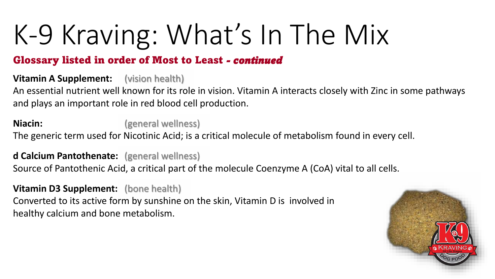#### Glossary listed in order of Most to Least *- continued*

**Vitamin A Supplement:** (vision health)

An essential nutrient well known for its role in vision. Vitamin A interacts closely with Zinc in some pathways and plays an important role in red blood cell production.

**Niacin:** (general wellness)

The generic term used for Nicotinic Acid; is a critical molecule of metabolism found in every cell.

**d Calcium Pantothenate:** (general wellness)

Source of Pantothenic Acid, a critical part of the molecule Coenzyme A (CoA) vital to all cells.

**Vitamin D3 Supplement:** (bone health) Converted to its active form by sunshine on the skin, Vitamin D is involved in healthy calcium and bone metabolism.

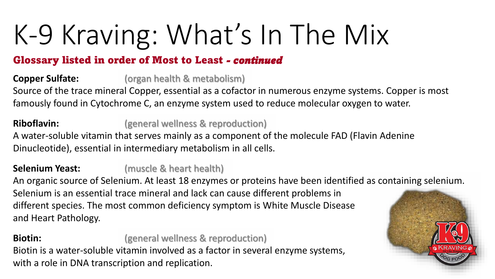### Glossary listed in order of Most to Least *- continued*

**Copper Sulfate:** (organ health & metabolism)

Source of the trace mineral Copper, essential as a cofactor in numerous enzyme systems. Copper is most famously found in Cytochrome C, an enzyme system used to reduce molecular oxygen to water.

**Riboflavin:** (general wellness & reproduction)

A water-soluble vitamin that serves mainly as a component of the molecule FAD (Flavin Adenine Dinucleotide), essential in intermediary metabolism in all cells.

### **Selenium Yeast:** (muscle & heart health)

An organic source of Selenium. At least 18 enzymes or proteins have been identified as containing selenium. Selenium is an essential trace mineral and lack can cause different problems in different species. The most common deficiency symptom is White Muscle Disease and Heart Pathology.

**Biotin: Biotin:** (general wellness & reproduction) Biotin is a water-soluble vitamin involved as a factor in several enzyme systems, with a role in DNA transcription and replication.

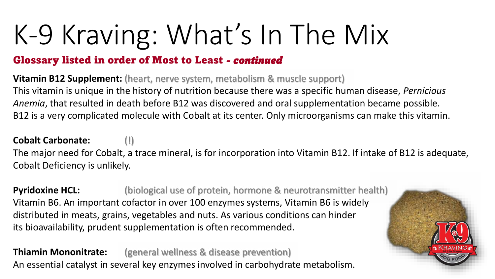#### Glossary listed in order of Most to Least *- continued*

**Vitamin B12 Supplement:** (heart, nerve system, metabolism & muscle support) This vitamin is unique in the history of nutrition because there was a specific human disease, *Pernicious Anemia*, that resulted in death before B12 was discovered and oral supplementation became possible. B12 is a very complicated molecule with Cobalt at its center. Only microorganisms can make this vitamin.

#### **Cobalt Carbonate:** (!)

The major need for Cobalt, a trace mineral, is for incorporation into Vitamin B12. If intake of B12 is adequate, Cobalt Deficiency is unlikely.

**Pyridoxine HCL:** (biological use of protein, hormone & neurotransmitter health) Vitamin B6. An important cofactor in over 100 enzymes systems, Vitamin B6 is widely distributed in meats, grains, vegetables and nuts. As various conditions can hinder its bioavailability, prudent supplementation is often recommended.

**Thiamin Mononitrate:** (general wellness & disease prevention) An essential catalyst in several key enzymes involved in carbohydrate metabolism.

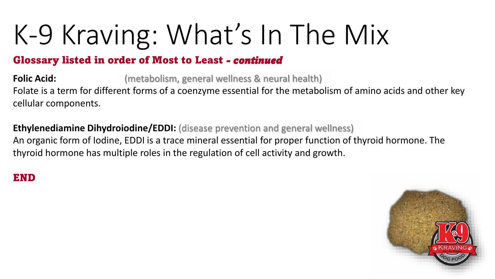#### Glossary listed in order of Most to Least *- continued*

**Folic Acid:** (metabolism, general wellness & neural health) Folate is a term for different forms of a coenzyme essential for the metabolism of amino acids and other key cellular components.

**Ethylenediamine Dihydroiodine/EDDI:** (disease prevention and general wellness) An organic form of Iodine, EDDI is a trace mineral essential for proper function of thyroid hormone. The thyroid hormone has multiple roles in the regulation of cell activity and growth.

#### END